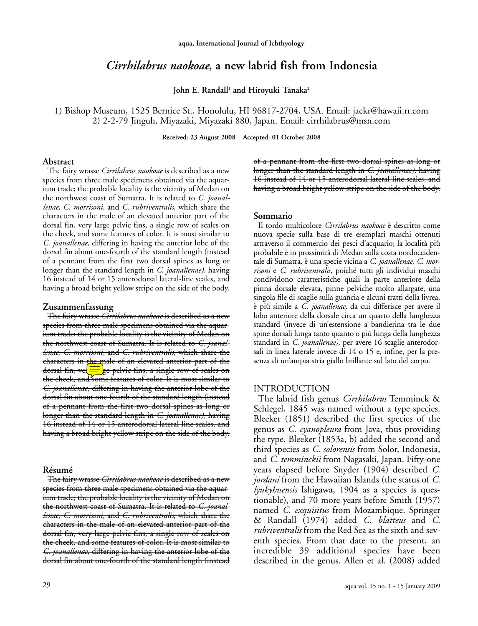# *Cirrhilabrus naokoae***, a new labrid fish from Indonesia**

**John E. Randall** <sup>1</sup> **and Hiroyuki Tanaka2**

1) Bishop Museum, 1525 Bernice St., Honolulu, HI 96817-2704, USA. Email: jackr@hawaii.rr.com 2) 2-2-79 Jinguh, Miyazaki, Miyazaki 880, Japan. Email: cirrhilabrus@msn.com

**Received: 23 August 2008 – Accepted: 01 October 2008**

### **Abstract**

The fairy wrasse *Cirrilabrus naokoae* is described as a new species from three male specimens obtained via the aquarium trade; the probable locality is the vicinity of Medan on the northwest coast of Sumatra. It is related to *C. joanallenae, C. morrisoni,* and *C. rubriventralis*, which share the characters in the male of an elevated anterior part of the dorsal fin, very large pelvic fins, a single row of scales on the cheek, and some features of color. It is most similar to *C. joanallenae*, differing in having the anterior lobe of the dorsal fin about one-fourth of the standard length (instead of a pennant from the first two dorsal spines as long or longer than the standard length in *C. joanallenae),* having 16 instead of 14 or 15 anterodorsal lateral-line scales, and having a broad bright yellow stripe on the side of the body.

## **Zusammenfassung**

The fairy wrasse *Cirrilabrus naokoae* is described as a new species from three male specimens obtained via the aquarium trade; the probable locality is the vicinity of Medan on the northwest coast of Sumatra. It is related to *C. joanallenae, C. morrisoni,* and *C. rubriventralis*, which share the characters in the male of an elevated anterior part of the dorsal fin, vel $\equiv$  ge pelvic fins, a single row of scales on the cheek, and some features of color. It is most similar to *C. joanallenae*, differing in having the anterior lobe of the dorsal fin about one-fourth of the standard length (instead of a pennant from the first two dorsal spines as long or longer than the standard length in *C. joanallenae),* having 16 instead of 14 or 15 anterodorsal lateral-line scales, and having a broad bright yellow stripe on the side of the body.

### **Résumé**

The fairy wrasse *Cirrilabrus naokoae* is described as a new species from three male specimens obtained via the aquarium trade; the probable locality is the vicinity of Medan on the northwest coast of Sumatra. It is related to *C. joanallenae, C. morrisoni,* and *C. rubriventralis*, which share the characters in the male of an elevated anterior part of the dorsal fin, very large pelvic fins, a single row of scales on the cheek, and some features of color. It is most similar to *C. joanallenae*, differing in having the anterior lobe of the dorsal fin about one-fourth of the standard length (instead of a pennant from the first two dorsal spines as long or longer than the standard length in *C. joanallenae),* having 16 instead of 14 or 15 anterodorsal lateral-line scales, and having a broad bright yellow stripe on the side of the body.

### **Sommario**

Il tordo multicolore *Cirrilabrus naokoae* è descritto come nuova specie sulla base di tre esemplari maschi ottenuti attraverso il commercio dei pesci d'acquario; la località più probabile è in prossimità di Medan sulla costa nordoccidentale di Sumatra. è una specie vicina a *C. joanallenae, C. morrisoni* e *C. rubriventralis,* poiché tutti gli individui maschi condividono caratteristiche quali la parte anteriore della pinna dorsale elevata, pinne pelviche molto allargate, una singola file di scaglie sulla guancia e alcuni tratti della livrea. è più simile a *C. joanallenae,* da cui differisce per avere il lobo anteriore della dorsale circa un quarto della lunghezza standard (invece di un'estensione a bandierina tra le due spine dorsali lunga tanto quanto o più lunga della lunghezza standard in *C. joanallenae),* per avere 16 scaglie anterodorsali in linea laterale invece di 14 o 15 e, infine, per la presenza di un'ampia stria giallo brillante sul lato del corpo.

## INTRODUCTION

The labrid fish genus *Cirrhilabrus* Temminck & Schlegel, 1845 was named without a type species. Bleeker (1851) described the first species of the genus as *C. cyanopleura* from Java, thus providing the type. Bleeker (1853a, b) added the second and third species as *C. solorensis* from Solor, Indonesia, and *C. temminckii* from Nagasaki, Japan. Fifty-one years elapsed before Snyder (1904) described *C. jordani* from the Hawaiian Islands (the status of *C. lyukyhuensis* Ishigawa, 1904 as a species is questionable), and 70 more years before Smith (1957) named *C. exquisitus* from Mozambique. Springer & Randall (1974) added *C. blatteus* and *C. rubriventralis* from the Red Sea as the sixth and seventh species. From that date to the present, an incredible 39 additional species have been described in the genus. Allen et al. (2008) added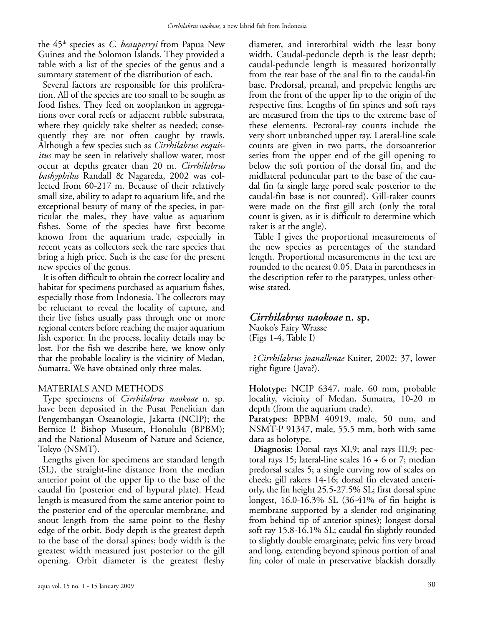the 45th species as *C. beauperryi* from Papua New Guinea and the Solomon Islands. They provided a table with a list of the species of the genus and a summary statement of the distribution of each.

Several factors are responsible for this proliferation. All of the species are too small to be sought as food fishes. They feed on zooplankon in aggregations over coral reefs or adjacent rubble substrata, where they quickly take shelter as needed; consequently they are not often caught by trawls. Although a few species such as *Cirrhilabrus exquisitus* may be seen in relatively shallow water, most occur at depths greater than 20 m. *Cirrhilabrus bathyphilus* Randall & Nagareda, 2002 was collected from 60-217 m. Because of their relatively small size, ability to adapt to aquarium life, and the exceptional beauty of many of the species, in particular the males, they have value as aquarium fishes. Some of the species have first become known from the aquarium trade, especially in recent years as collectors seek the rare species that bring a high price. Such is the case for the present new species of the genus.

It is often difficult to obtain the correct locality and habitat for specimens purchased as aquarium fishes, especially those from Indonesia. The collectors may be reluctant to reveal the locality of capture, and their live fishes usually pass through one or more regional centers before reaching the major aquarium fish exporter. In the process, locality details may be lost. For the fish we describe here, we know only that the probable locality is the vicinity of Medan, Sumatra. We have obtained only three males.

## MATERIALS AND METHODS

Type specimens of *Cirrhilabrus naokoae* n. sp. have been deposited in the Pusat Penelitian dan Pengembangan Oseanologie, Jakarta (NCIP); the Bernice P. Bishop Museum, Honolulu (BPBM); and the National Museum of Nature and Science, Tokyo (NSMT).

Lengths given for specimens are standard length (SL), the straight-line distance from the median anterior point of the upper lip to the base of the caudal fin (posterior end of hypural plate). Head length is measured from the same anterior point to the posterior end of the opercular membrane, and snout length from the same point to the fleshy edge of the orbit. Body depth is the greatest depth to the base of the dorsal spines; body width is the greatest width measured just posterior to the gill opening. Orbit diameter is the greatest fleshy diameter, and interorbital width the least bony width. Caudal-peduncle depth is the least depth; caudal-peduncle length is measured horizontally from the rear base of the anal fin to the caudal-fin base. Predorsal, preanal, and prepelvic lengths are from the front of the upper lip to the origin of the respective fins. Lengths of fin spines and soft rays are measured from the tips to the extreme base of these elements. Pectoral-ray counts include the very short unbranched upper ray. Lateral-line scale counts are given in two parts, the dorsoanterior series from the upper end of the gill opening to below the soft portion of the dorsal fin, and the midlateral peduncular part to the base of the caudal fin (a single large pored scale posterior to the caudal-fin base is not counted). Gill-raker counts were made on the first gill arch (only the total count is given, as it is difficult to determine which raker is at the angle).

Table I gives the proportional measurements of the new species as percentages of the standard length. Proportional measurements in the text are rounded to the nearest 0.05. Data in parentheses in the description refer to the paratypes, unless otherwise stated.

# *Cirrhilabrus naokoae* **n. sp.**

Naoko's Fairy Wrasse (Figs 1-4, Table I)

?*Cirrhilabrus joanallenae* Kuiter, 2002: 37, lower right figure (Java?).

**Holotype:** NCIP 6347, male, 60 mm, probable locality, vicinity of Medan, Sumatra, 10-20 m depth (from the aquarium trade).

**Paratypes:** BPBM 40919, male, 50 mm, and NSMT-P 91347, male, 55.5 mm, both with same data as holotype.

**Diagnosis:** Dorsal rays XI,9; anal rays III,9; pectoral rays 15; lateral-line scales  $16 + 6$  or 7; median predorsal scales 5; a single curving row of scales on cheek; gill rakers 14-16; dorsal fin elevated anteriorly, the fin height 25.5-27.5% SL; first dorsal spine longest, 16.0-16.3% SL (36-41% of fin height is membrane supported by a slender rod originating from behind tip of anterior spines); longest dorsal soft ray 15.8-16.1% SL; caudal fin slightly rounded to slightly double emarginate; pelvic fins very broad and long, extending beyond spinous portion of anal fin; color of male in preservative blackish dorsally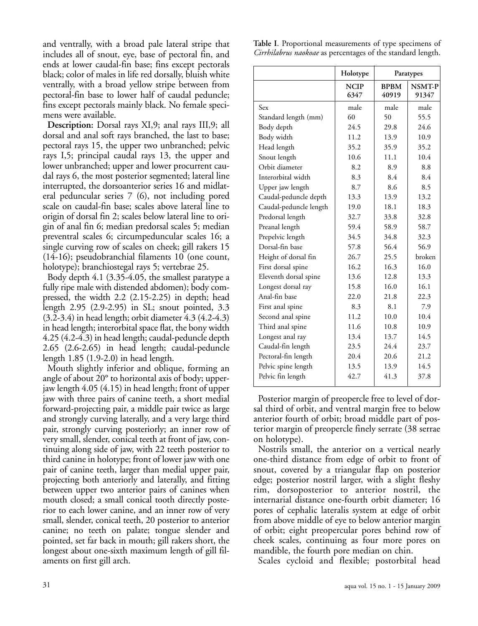and ventrally, with a broad pale lateral stripe that includes all of snout, eye, base of pectoral fin, and ends at lower caudal-fin base; fins except pectorals black; color of males in life red dorsally, bluish white ventrally, with a broad yellow stripe between from pectoral-fin base to lower half of caudal peduncle; fins except pectorals mainly black. No female specimens were available.

**Description:** Dorsal rays XI,9; anal rays III,9; all dorsal and anal soft rays branched, the last to base; pectoral rays 15, the upper two unbranched; pelvic rays I,5; principal caudal rays 13, the upper and lower unbranched; upper and lower procurrent caudal rays 6, the most posterior segmented; lateral line interrupted, the dorsoanterior series 16 and midlateral peduncular series 7 (6), not including pored scale on caudal-fin base; scales above lateral line to origin of dorsal fin 2; scales below lateral line to origin of anal fin 6; median predorsal scales 5; median preventral scales 6; circumpeduncular scales 16; a single curving row of scales on cheek; gill rakers 15 (14-16); pseudobranchial filaments 10 (one count, holotype); branchiostegal rays 5; vertebrae 25.

Body depth 4.1 (3.35-4.05, the smallest paratype a fully ripe male with distended abdomen); body compressed, the width 2.2 (2.15-2.25) in depth; head length 2.95 (2.9-2.95) in SL; snout pointed, 3.3 (3.2-3.4) in head length; orbit diameter 4.3 (4.2-4.3) in head length; interorbital space flat, the bony width 4.25 (4.2-4.3) in head length; caudal-peduncle depth 2.65 (2.6-2.65) in head length; caudal-peduncle length 1.85 (1.9-2.0) in head length.

Mouth slightly inferior and oblique, forming an angle of about 20° to horizontal axis of body; upperjaw length 4.05 (4.15) in head length; front of upper jaw with three pairs of canine teeth, a short medial forward-projecting pair, a middle pair twice as large and strongly curving laterally, and a very large third pair, strongly curving posteriorly; an inner row of very small, slender, conical teeth at front of jaw, continuing along side of jaw, with 22 teeth posterior to third canine in holotype; front of lower jaw with one pair of canine teeth, larger than medial upper pair, projecting both anteriorly and laterally, and fitting between upper two anterior pairs of canines when mouth closed; a small conical tooth directly posterior to each lower canine, and an inner row of very small, slender, conical teeth, 20 posterior to anterior canine; no teeth on palate; tongue slender and pointed, set far back in mouth; gill rakers short, the longest about one-sixth maximum length of gill filaments on first gill arch.

**Table I**. Proportional measurements of type specimens of *Cirrhilabrus naokoae* as percentages of the standard length.

|                        | Holotype            | Paratypes            |                        |
|------------------------|---------------------|----------------------|------------------------|
|                        | <b>NCIP</b><br>6347 | <b>BPBM</b><br>40919 | <b>NSMT-P</b><br>91347 |
| Sex                    | male                | male                 | male                   |
| Standard length (mm)   | 60                  | 50                   | 55.5                   |
| Body depth             | 24.5                | 29.8                 | 24.6                   |
| Body width             | 11.2                | 13.9                 | 10.9                   |
| Head length            | 35.2                | 35.9                 | 35.2                   |
| Snout length           | 10.6                | 11.1                 | 10.4                   |
| Orbit diameter         | 8.2                 | 8.9                  | 8.8                    |
| Interorbital width     | 8.3                 | 8.4                  | 8.4                    |
| Upper jaw length       | 8.7                 | 8.6                  | 8.5                    |
| Caudal-peduncle depth  | 13.3                | 13.9                 | 13.2                   |
| Caudal-peduncle length | 19.0                | 18.1                 | 18.3                   |
| Predorsal length       | 32.7                | 33.8                 | 32.8                   |
| Preanal length         | 59.4                | 58.9                 | 58.7                   |
| Prepelvic length       | 34.5                | 34.8                 | 32.3                   |
| Dorsal-fin base        | 57.8                | 56.4                 | 56.9                   |
| Height of dorsal fin   | 26.7                | 25.5                 | broken                 |
| First dorsal spine     | 16.2                | 16.3                 | 16.0                   |
| Eleventh dorsal spine  | 13.6                | 12.8                 | 13.3                   |
| Longest dorsal ray     | 15.8                | 16.0                 | 16.1                   |
| Anal-fin base          | 22.0                | 21.8                 | 22.3                   |
| First anal spine       | 8.3                 | 8.1                  | 7.9                    |
| Second anal spine      | 11.2                | 10.0                 | 10.4                   |
| Third anal spine       | 11.6                | 10.8                 | 10.9                   |
| Longest anal ray       | 13.4                | 13.7                 | 14.5                   |
| Caudal-fin length      | 23.5                | 24.4                 | 23.7                   |
| Pectoral-fin length    | 20.4                | 20.6                 | 21.2                   |
| Pelvic spine length    | 13.5                | 13.9                 | 14.5                   |
| Pelvic fin length      | 42.7                | 41.3                 | 37.8                   |

Posterior margin of preopercle free to level of dorsal third of orbit, and ventral margin free to below anterior fourth of orbit; broad middle part of posterior margin of preopercle finely serrate (38 serrae on holotype).

Nostrils small, the anterior on a vertical nearly one-third distance from edge of orbit to front of snout, covered by a triangular flap on posterior edge; posterior nostril larger, with a slight fleshy rim, dorsoposterior to anterior nostril, the internarial distance one-fourth orbit diameter; 16 pores of cephalic lateralis system at edge of orbit from above middle of eye to below anterior margin of orbit; eight preopercular pores behind row of cheek scales, continuing as four more pores on mandible, the fourth pore median on chin.

Scales cycloid and flexible; postorbital head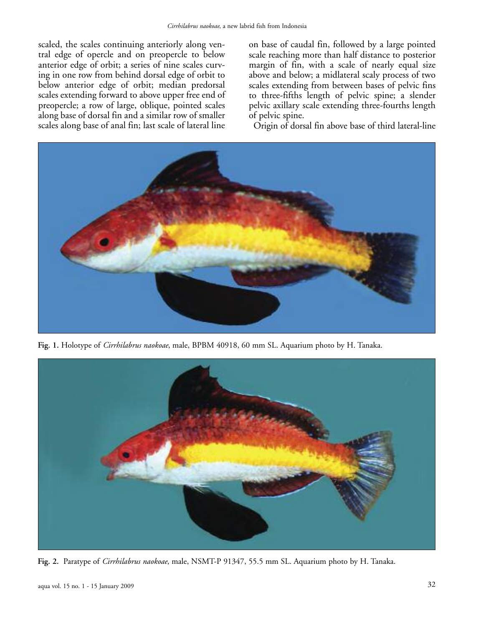scaled, the scales continuing anteriorly along ventral edge of opercle and on preopercle to below anterior edge of orbit; a series of nine scales curving in one row from behind dorsal edge of orbit to below anterior edge of orbit; median predorsal scales extending forward to above upper free end of preopercle; a row of large, oblique, pointed scales along base of dorsal fin and a similar row of smaller scales along base of anal fin; last scale of lateral line on base of caudal fin, followed by a large pointed scale reaching more than half distance to posterior margin of fin, with a scale of nearly equal size above and below; a midlateral scaly process of two scales extending from between bases of pelvic fins to three-fifths length of pelvic spine; a slender pelvic axillary scale extending three-fourths length of pelvic spine.

Origin of dorsal fin above base of third lateral-line



**Fig. 1.** Holotype of *Cirrhilabrus naokoae*, male, BPBM 40918, 60 mm SL. Aquarium photo by H. Tanaka.



**Fig. 2.** Paratype of *Cirrhilabrus naokoae*, male, NSMT-P 91347, 55.5 mm SL. Aquarium photo by H. Tanaka.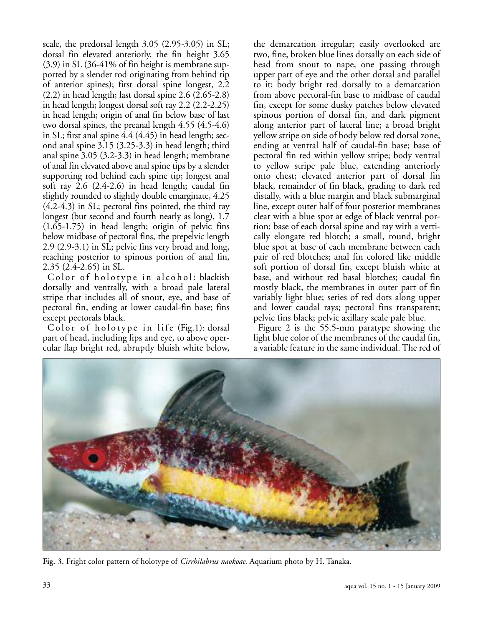scale, the predorsal length 3.05 (2.95-3.05) in SL; dorsal fin elevated anteriorly, the fin height 3.65 (3.9) in SL (36-41% of fin height is membrane supported by a slender rod originating from behind tip of anterior spines); first dorsal spine longest, 2.2 (2.2) in head length; last dorsal spine 2.6 (2.65-2.8) in head length; longest dorsal soft ray 2.2 (2.2-2.25) in head length; origin of anal fin below base of last two dorsal spines, the preanal length 4.55 (4.5-4.6) in SL; first anal spine 4.4 (4.45) in head length; second anal spine 3.15 (3.25-3.3) in head length; third anal spine 3.05 (3.2-3.3) in head length; membrane of anal fin elevated above anal spine tips by a slender supporting rod behind each spine tip; longest anal soft ray 2.6 (2.4-2.6) in head length; caudal fin slightly rounded to slightly double emarginate, 4.25 (4.2-4.3) in SL; pectoral fins pointed, the third ray longest (but second and fourth nearly as long), 1.7 (1.65-1.75) in head length; origin of pelvic fins below midbase of pectoral fins, the prepelvic length 2.9 (2.9-3.1) in SL; pelvic fins very broad and long, reaching posterior to spinous portion of anal fin, 2.35 (2.4-2.65) in SL.

Color of holotype in alcohol: blackish dorsally and ventrally, with a broad pale lateral stripe that includes all of snout, eye, and base of pectoral fin, ending at lower caudal-fin base; fins except pectorals black.

Color of holotype in life (Fig.1): dorsal part of head, including lips and eye, to above opercular flap bright red, abruptly bluish white below,

the demarcation irregular; easily overlooked are two, fine, broken blue lines dorsally on each side of head from snout to nape, one passing through upper part of eye and the other dorsal and parallel to it; body bright red dorsally to a demarcation from above pectoral-fin base to midbase of caudal fin, except for some dusky patches below elevated spinous portion of dorsal fin, and dark pigment along anterior part of lateral line; a broad bright yellow stripe on side of body below red dorsal zone, ending at ventral half of caudal-fin base; base of pectoral fin red within yellow stripe; body ventral to yellow stripe pale blue, extending anteriorly onto chest; elevated anterior part of dorsal fin black, remainder of fin black, grading to dark red distally, with a blue margin and black submarginal line, except outer half of four posterior membranes clear with a blue spot at edge of black ventral portion; base of each dorsal spine and ray with a vertically elongate red blotch; a small, round, bright blue spot at base of each membrane between each pair of red blotches; anal fin colored like middle soft portion of dorsal fin, except bluish white at base, and without red basal blotches; caudal fin mostly black, the membranes in outer part of fin variably light blue; series of red dots along upper and lower caudal rays; pectoral fins transparent; pelvic fins black; pelvic axillary scale pale blue.

Figure 2 is the 55.5-mm paratype showing the light blue color of the membranes of the caudal fin, a variable feature in the same individual. The red of



**Fig. 3.** Fright color pattern of holotype of *Cirrhilabrus naokoae*. Aquarium photo by H. Tanaka.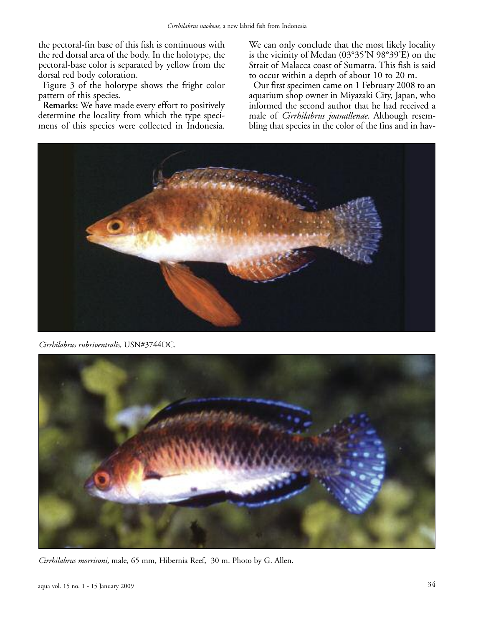the pectoral-fin base of this fish is continuous with the red dorsal area of the body. In the holotype, the pectoral-base color is separated by yellow from the dorsal red body coloration.

Figure 3 of the holotype shows the fright color pattern of this species.

**Remarks:** We have made every effort to positively determine the locality from which the type specimens of this species were collected in Indonesia.

We can only conclude that the most likely locality is the vicinity of Medan (03°35'N 98°39'E) on the Strait of Malacca coast of Sumatra. This fish is said to occur within a depth of about 10 to 20 m.

Our first specimen came on 1 February 2008 to an aquarium shop owner in Miyazaki City, Japan, who informed the second author that he had received a male of *Cirrhilabrus joanallenae*. Although resembling that species in the color of the fins and in hav-



*Cirrhilabrus rubriventralis,* USN#3744DC.



*Cirrhilabrus morrisoni,* male, 65 mm, Hibernia Reef, 30 m. Photo by G. Allen.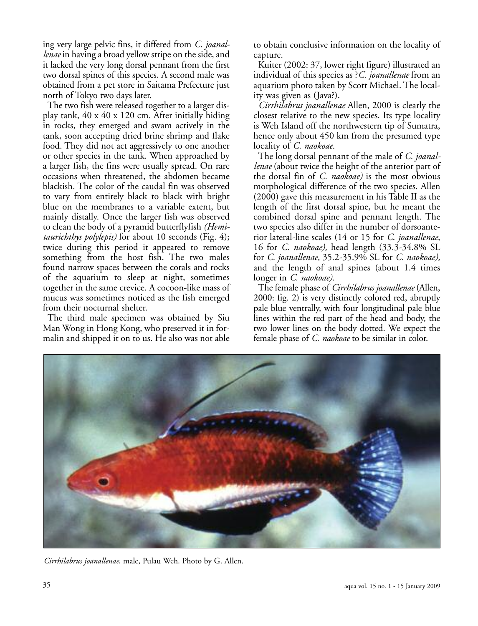ing very large pelvic fins, it differed from *C. joanallenae* in having a broad yellow stripe on the side, and it lacked the very long dorsal pennant from the first two dorsal spines of this species. A second male was obtained from a pet store in Saitama Prefecture just north of Tokyo two days later.

The two fish were released together to a larger display tank, 40 x 40 x 120 cm. After initially hiding in rocks, they emerged and swam actively in the tank, soon accepting dried brine shrimp and flake food. They did not act aggressively to one another or other species in the tank. When approached by a larger fish, the fins were usually spread. On rare occasions when threatened, the abdomen became blackish. The color of the caudal fin was observed to vary from entirely black to black with bright blue on the membranes to a variable extent, but mainly distally. Once the larger fish was observed to clean the body of a pyramid butterflyfish *(Hemitaurichthys polylepis)* for about 10 seconds (Fig. 4); twice during this period it appeared to remove something from the host fish. The two males found narrow spaces between the corals and rocks of the aquarium to sleep at night, sometimes together in the same crevice. A cocoon-like mass of mucus was sometimes noticed as the fish emerged from their nocturnal shelter.

The third male specimen was obtained by Siu Man Wong in Hong Kong, who preserved it in formalin and shipped it on to us. He also was not able to obtain conclusive information on the locality of capture.

Kuiter (2002: 37, lower right figure) illustrated an individual of this species as ?*C. joanallenae* from an aquarium photo taken by Scott Michael. The locality was given as (Java?).

*Cirrhilabrus joanallenae* Allen, 2000 is clearly the closest relative to the new species. Its type locality is Weh Island off the northwestern tip of Sumatra, hence only about 450 km from the presumed type locality of *C. naokoae*.

The long dorsal pennant of the male of *C. joanallenae* (about twice the height of the anterior part of the dorsal fin of *C. naokoae)* is the most obvious morphological difference of the two species. Allen (2000) gave this measurement in his Table II as the length of the first dorsal spine, but he meant the combined dorsal spine and pennant length. The two species also differ in the number of dorsoanterior lateral-line scales (14 or 15 for *C*. *joanallenae*, 16 for *C*. *naokoae),* head length (33.3-34.8% SL for *C. joanallenae*, 35.2-35.9% SL for *C. naokoae),* and the length of anal spines (about 1.4 times longer in *C. naokoae).*

The female phase of *Cirrhilabrus joanallenae* (Allen, 2000: fig. 2) is very distinctly colored red, abruptly pale blue ventrally, with four longitudinal pale blue lines within the red part of the head and body, the two lower lines on the body dotted. We expect the female phase of *C. naokoae* to be similar in color.



*Cirrhilabrus joanallenae,* male, Pulau Weh. Photo by G. Allen.